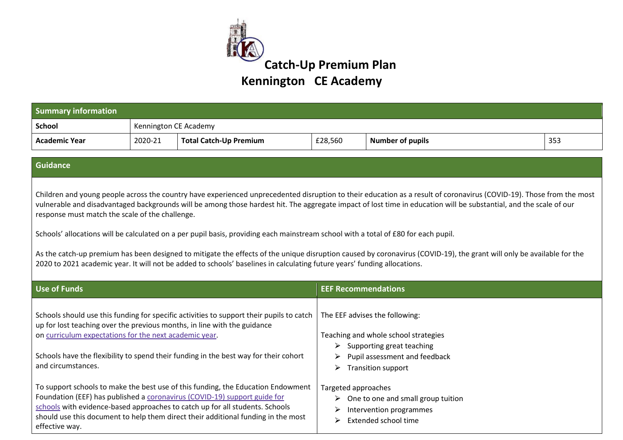

| <b>Summary information</b>                                                                                                                                                                                                                                                                                                                                                                                                                                                                                                                                                                                                                                                                                                                                                                                                               |                       |                                                                                                                        |                                                                                                                                                                                              |                         |     |
|------------------------------------------------------------------------------------------------------------------------------------------------------------------------------------------------------------------------------------------------------------------------------------------------------------------------------------------------------------------------------------------------------------------------------------------------------------------------------------------------------------------------------------------------------------------------------------------------------------------------------------------------------------------------------------------------------------------------------------------------------------------------------------------------------------------------------------------|-----------------------|------------------------------------------------------------------------------------------------------------------------|----------------------------------------------------------------------------------------------------------------------------------------------------------------------------------------------|-------------------------|-----|
| <b>School</b>                                                                                                                                                                                                                                                                                                                                                                                                                                                                                                                                                                                                                                                                                                                                                                                                                            | Kennington CE Academy |                                                                                                                        |                                                                                                                                                                                              |                         |     |
| <b>Academic Year</b>                                                                                                                                                                                                                                                                                                                                                                                                                                                                                                                                                                                                                                                                                                                                                                                                                     | 2020-21               | <b>Total Catch-Up Premium</b>                                                                                          | £28,560                                                                                                                                                                                      | <b>Number of pupils</b> | 353 |
| Guidance                                                                                                                                                                                                                                                                                                                                                                                                                                                                                                                                                                                                                                                                                                                                                                                                                                 |                       |                                                                                                                        |                                                                                                                                                                                              |                         |     |
| Children and young people across the country have experienced unprecedented disruption to their education as a result of coronavirus (COVID-19). Those from the most<br>vulnerable and disadvantaged backgrounds will be among those hardest hit. The aggregate impact of lost time in education will be substantial, and the scale of our<br>response must match the scale of the challenge.<br>Schools' allocations will be calculated on a per pupil basis, providing each mainstream school with a total of £80 for each pupil.<br>As the catch-up premium has been designed to mitigate the effects of the unique disruption caused by coronavirus (COVID-19), the grant will only be available for the<br>2020 to 2021 academic year. It will not be added to schools' baselines in calculating future years' funding allocations. |                       |                                                                                                                        |                                                                                                                                                                                              |                         |     |
| <b>Use of Funds</b>                                                                                                                                                                                                                                                                                                                                                                                                                                                                                                                                                                                                                                                                                                                                                                                                                      |                       |                                                                                                                        | <b>EEF Recommendations</b>                                                                                                                                                                   |                         |     |
| Schools should use this funding for specific activities to support their pupils to catch<br>up for lost teaching over the previous months, in line with the guidance<br>on curriculum expectations for the next academic year.<br>Schools have the flexibility to spend their funding in the best way for their cohort<br>and circumstances.                                                                                                                                                                                                                                                                                                                                                                                                                                                                                             |                       |                                                                                                                        | The EEF advises the following:<br>Teaching and whole school strategies<br>$\triangleright$ Supporting great teaching<br>Pupil assessment and feedback<br>➤<br><b>Transition support</b><br>➤ |                         |     |
| To support schools to make the best use of this funding, the Education Endowment<br>Foundation (EEF) has published a coronavirus (COVID-19) support guide for<br>schools with evidence-based approaches to catch up for all students. Schools<br>should use this document to help them direct their additional funding in the most<br>effective way.                                                                                                                                                                                                                                                                                                                                                                                                                                                                                     |                       | Targeted approaches<br>One to one and small group tuition<br>➤<br>Intervention programmes<br>Extended school time<br>⋗ |                                                                                                                                                                                              |                         |     |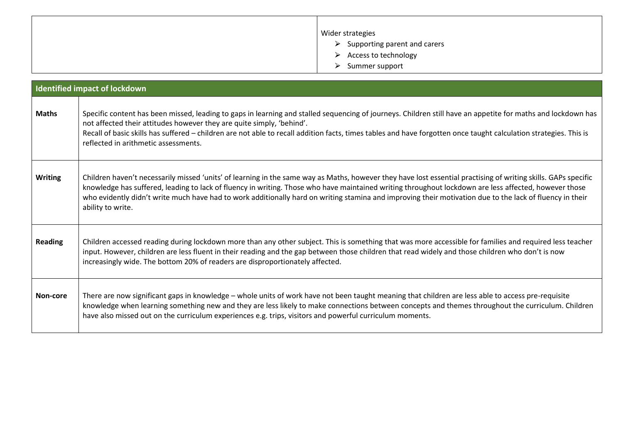| Wider strategies                              |
|-----------------------------------------------|
| $\triangleright$ Supporting parent and carers |
| $\triangleright$ Access to technology         |
| Summer support<br>$\triangleright$            |

| <b>Identified impact of lockdown</b> |                                                                                                                                                                                                                                                                                                                                                                                                                                                                                                          |  |  |  |
|--------------------------------------|----------------------------------------------------------------------------------------------------------------------------------------------------------------------------------------------------------------------------------------------------------------------------------------------------------------------------------------------------------------------------------------------------------------------------------------------------------------------------------------------------------|--|--|--|
| <b>Maths</b>                         | Specific content has been missed, leading to gaps in learning and stalled sequencing of journeys. Children still have an appetite for maths and lockdown has<br>not affected their attitudes however they are quite simply, 'behind'.<br>Recall of basic skills has suffered - children are not able to recall addition facts, times tables and have forgotten once taught calculation strategies. This is<br>reflected in arithmetic assessments.                                                       |  |  |  |
| <b>Writing</b>                       | Children haven't necessarily missed 'units' of learning in the same way as Maths, however they have lost essential practising of writing skills. GAPs specific<br>knowledge has suffered, leading to lack of fluency in writing. Those who have maintained writing throughout lockdown are less affected, however those<br>who evidently didn't write much have had to work additionally hard on writing stamina and improving their motivation due to the lack of fluency in their<br>ability to write. |  |  |  |
| <b>Reading</b>                       | Children accessed reading during lockdown more than any other subject. This is something that was more accessible for families and required less teacher<br>input. However, children are less fluent in their reading and the gap between those children that read widely and those children who don't is now<br>increasingly wide. The bottom 20% of readers are disproportionately affected.                                                                                                           |  |  |  |
| Non-core                             | There are now significant gaps in knowledge - whole units of work have not been taught meaning that children are less able to access pre-requisite<br>knowledge when learning something new and they are less likely to make connections between concepts and themes throughout the curriculum. Children<br>have also missed out on the curriculum experiences e.g. trips, visitors and powerful curriculum moments.                                                                                     |  |  |  |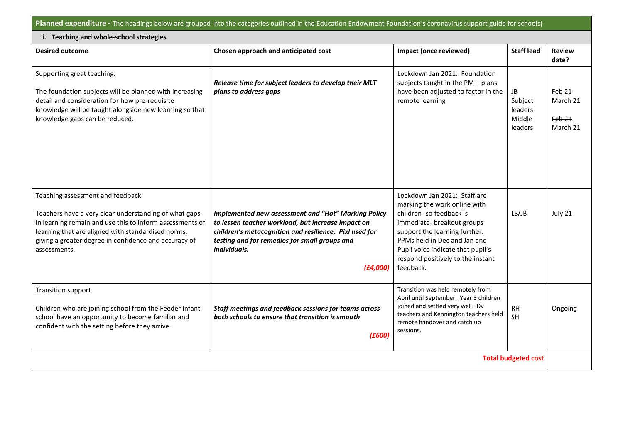**Planned expenditure -** The headings below are grouped into the categories outlined in the Education Endowment Foundation's coronavirus support guide for schools)

| i. Teaching and whole-school strategies                                                                                                                                                                                                                                              |                                                                                                                                                                                                                                                         |                                                                                                                                                                                                                                                                               |                                               |                                              |  |  |
|--------------------------------------------------------------------------------------------------------------------------------------------------------------------------------------------------------------------------------------------------------------------------------------|---------------------------------------------------------------------------------------------------------------------------------------------------------------------------------------------------------------------------------------------------------|-------------------------------------------------------------------------------------------------------------------------------------------------------------------------------------------------------------------------------------------------------------------------------|-----------------------------------------------|----------------------------------------------|--|--|
| <b>Desired outcome</b>                                                                                                                                                                                                                                                               | Chosen approach and anticipated cost                                                                                                                                                                                                                    | Impact (once reviewed)                                                                                                                                                                                                                                                        | <b>Staff lead</b>                             | <b>Review</b><br>date?                       |  |  |
| Supporting great teaching:<br>The foundation subjects will be planned with increasing<br>detail and consideration for how pre-requisite<br>knowledge will be taught alongside new learning so that<br>knowledge gaps can be reduced.                                                 | Release time for subject leaders to develop their MLT<br>plans to address gaps                                                                                                                                                                          | Lockdown Jan 2021: Foundation<br>subjects taught in the PM - plans<br>have been adjusted to factor in the<br>remote learning                                                                                                                                                  | JB<br>Subject<br>leaders<br>Middle<br>leaders | $Feb-21$<br>March 21<br>$Feb-21$<br>March 21 |  |  |
| Teaching assessment and feedback<br>Teachers have a very clear understanding of what gaps<br>in learning remain and use this to inform assessments of<br>learning that are aligned with standardised norms,<br>giving a greater degree in confidence and accuracy of<br>assessments. | <b>Implemented new assessment and "Hot" Marking Policy</b><br>to lessen teacher workload, but increase impact on<br>children's metacognition and resilience. Pixl used for<br>testing and for remedies for small groups and<br>individuals.<br>(E4,000) | Lockdown Jan 2021: Staff are<br>marking the work online with<br>children-so feedback is<br>immediate- breakout groups<br>support the learning further.<br>PPMs held in Dec and Jan and<br>Pupil voice indicate that pupil's<br>respond positively to the instant<br>feedback. | LS/JB                                         | July 21                                      |  |  |
| <b>Transition support</b><br>Children who are joining school from the Feeder Infant<br>school have an opportunity to become familiar and<br>confident with the setting before they arrive.                                                                                           | Staff meetings and feedback sessions for teams across<br>both schools to ensure that transition is smooth<br>(E600)                                                                                                                                     | Transition was held remotely from<br>April until September. Year 3 children<br>joined and settled very well. Dv<br>teachers and Kennington teachers held<br>remote handover and catch up<br>sessions.                                                                         | <b>RH</b><br>SH                               | Ongoing                                      |  |  |
| <b>Total budgeted cost</b>                                                                                                                                                                                                                                                           |                                                                                                                                                                                                                                                         |                                                                                                                                                                                                                                                                               |                                               |                                              |  |  |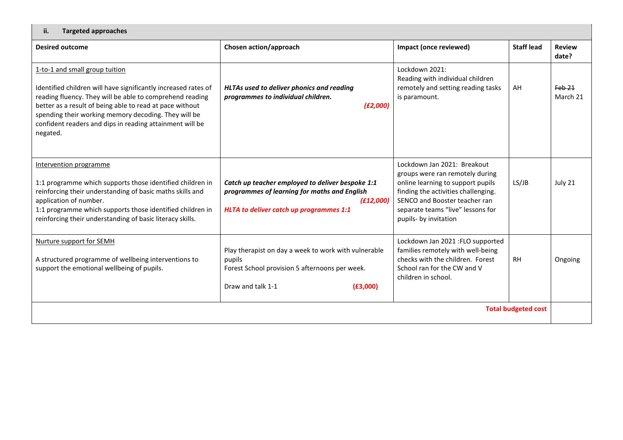| <b>Targeted approaches</b><br>ii.                                                                                                                                                                                                                                                                                                                        |                                                                                                                                                          |                                                                                                                                                                                                                                           |                   |                               |
|----------------------------------------------------------------------------------------------------------------------------------------------------------------------------------------------------------------------------------------------------------------------------------------------------------------------------------------------------------|----------------------------------------------------------------------------------------------------------------------------------------------------------|-------------------------------------------------------------------------------------------------------------------------------------------------------------------------------------------------------------------------------------------|-------------------|-------------------------------|
| <b>Desired outcome</b>                                                                                                                                                                                                                                                                                                                                   | Chosen action/approach                                                                                                                                   | Impact (once reviewed)                                                                                                                                                                                                                    | <b>Staff lead</b> | <b>Review</b><br>date?        |
| 1-to-1 and small group tuition<br>Identified children will have significantly increased rates of<br>reading fluency. They will be able to comprehend reading<br>better as a result of being able to read at pace without<br>spending their working memory decoding. They will be<br>confident readers and dips in reading attainment will be<br>negated. | <b>HLTAs used to deliver phonics and reading</b><br>programmes to individual children.<br>(E2,000)                                                       | Lockdown 2021:<br>Reading with individual children<br>remotely and setting reading tasks<br>is paramount.                                                                                                                                 | AH                | Feb <sub>21</sub><br>March 21 |
| Intervention programme<br>1:1 programme which supports those identified children in<br>reinforcing their understanding of basic maths skills and<br>application of number.<br>1:1 programme which supports those identified children in<br>reinforcing their understanding of basic literacy skills.                                                     | Catch up teacher employed to deliver bespoke 1:1<br>programmes of learning for maths and English<br>(E12,000)<br>HLTA to deliver catch up programmes 1:1 | Lockdown Jan 2021: Breakout<br>groups were ran remotely during<br>online learning to support pupils<br>finding the activities challenging.<br>SENCO and Booster teacher ran<br>separate teams "live" lessons for<br>pupils- by invitation | LS/JB             | July 21                       |
| Nurture support for SEMH<br>A structured programme of wellbeing interventions to<br>support the emotional wellbeing of pupils.                                                                                                                                                                                                                           | Play therapist on day a week to work with vulnerable<br>pupils<br>Forest School provision 5 afternoons per week.<br>Draw and talk 1-1<br>(E3,000)        | Lockdown Jan 2021 : FLO supported<br>families remotely with well-being<br>checks with the children. Forest<br>School ran for the CW and V<br>children in school.                                                                          | <b>RH</b>         | Ongoing                       |
| <b>Total budgeted cost</b>                                                                                                                                                                                                                                                                                                                               |                                                                                                                                                          |                                                                                                                                                                                                                                           |                   |                               |